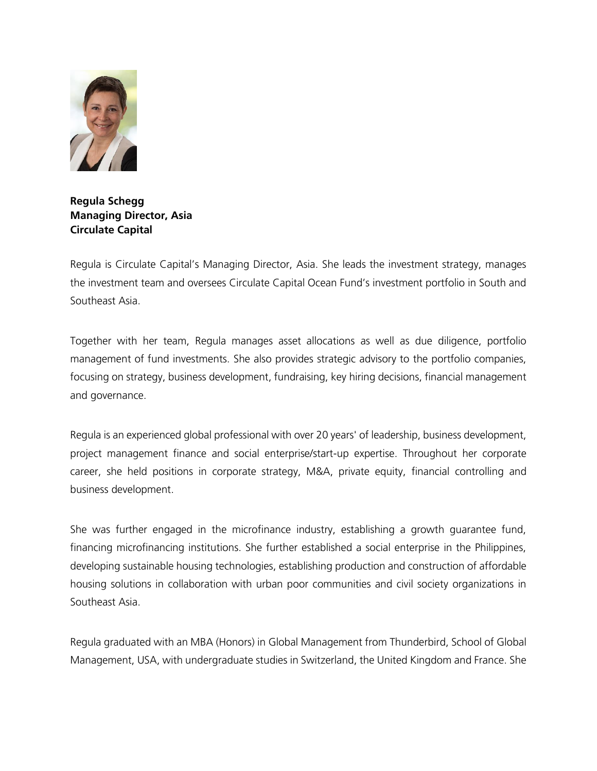

**Regula Schegg Managing Director, Asia Circulate Capital** 

Regula is Circulate Capital's Managing Director, Asia. She leads the investment strategy, manages the investment team and oversees Circulate Capital Ocean Fund's investment portfolio in South and Southeast Asia.

Together with her team, Regula manages asset allocations as well as due diligence, portfolio management of fund investments. She also provides strategic advisory to the portfolio companies, focusing on strategy, business development, fundraising, key hiring decisions, financial management and governance.

Regula is an experienced global professional with over 20 years' of leadership, business development, project management finance and social enterprise/start-up expertise. Throughout her corporate career, she held positions in corporate strategy, M&A, private equity, financial controlling and business development.

She was further engaged in the microfinance industry, establishing a growth guarantee fund, financing microfinancing institutions. She further established a social enterprise in the Philippines, developing sustainable housing technologies, establishing production and construction of affordable housing solutions in collaboration with urban poor communities and civil society organizations in Southeast Asia.

Regula graduated with an MBA (Honors) in Global Management from Thunderbird, School of Global Management, USA, with undergraduate studies in Switzerland, the United Kingdom and France. She